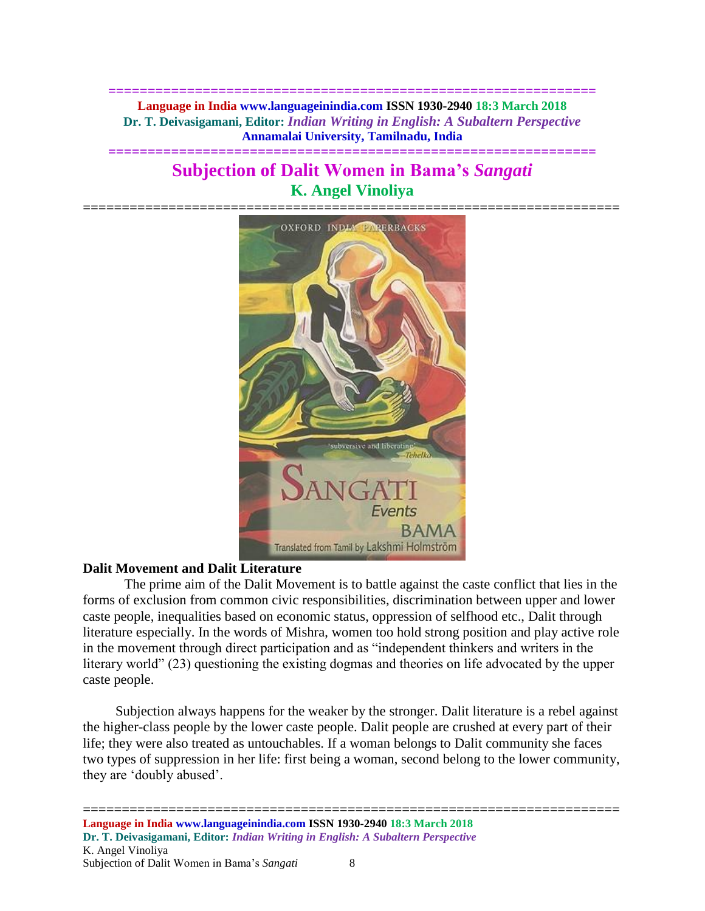**============================================================== Language in India www.languageinindia.com ISSN 1930-2940 18:3 March 2018 Dr. T. Deivasigamani, Editor:** *Indian Writing in English: A Subaltern Perspective* **Annamalai University, Tamilnadu, India**

**==============================================================**

# **Subjection of Dalit Women in Bama's** *Sangati* **K. Angel Vinoliya**



# **Dalit Movement and Dalit Literature**

The prime aim of the Dalit Movement is to battle against the caste conflict that lies in the forms of exclusion from common civic responsibilities, discrimination between upper and lower caste people, inequalities based on economic status, oppression of selfhood etc., Dalit through literature especially. In the words of Mishra, women too hold strong position and play active role in the movement through direct participation and as "independent thinkers and writers in the literary world" (23) questioning the existing dogmas and theories on life advocated by the upper caste people.

Subjection always happens for the weaker by the stronger. Dalit literature is a rebel against the higher-class people by the lower caste people. Dalit people are crushed at every part of their life; they were also treated as untouchables. If a woman belongs to Dalit community she faces two types of suppression in her life: first being a woman, second belong to the lower community, they are 'doubly abused'.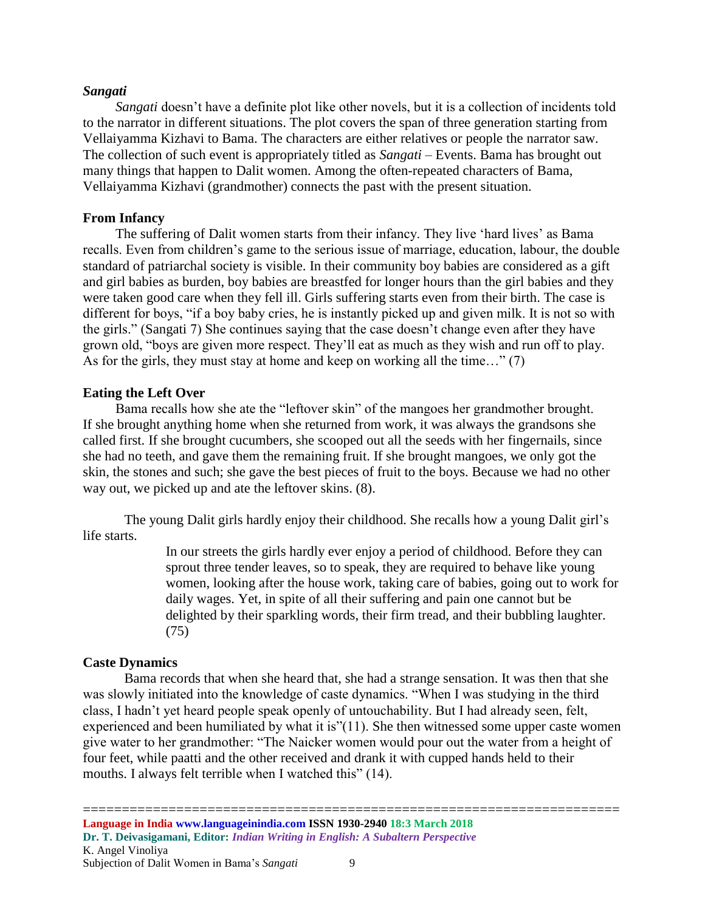## *Sangati*

*Sangati* doesn't have a definite plot like other novels, but it is a collection of incidents told to the narrator in different situations. The plot covers the span of three generation starting from Vellaiyamma Kizhavi to Bama. The characters are either relatives or people the narrator saw. The collection of such event is appropriately titled as *Sangati* – Events. Bama has brought out many things that happen to Dalit women. Among the often-repeated characters of Bama, Vellaiyamma Kizhavi (grandmother) connects the past with the present situation.

## **From Infancy**

The suffering of Dalit women starts from their infancy. They live 'hard lives' as Bama recalls. Even from children's game to the serious issue of marriage, education, labour, the double standard of patriarchal society is visible. In their community boy babies are considered as a gift and girl babies as burden, boy babies are breastfed for longer hours than the girl babies and they were taken good care when they fell ill. Girls suffering starts even from their birth. The case is different for boys, "if a boy baby cries, he is instantly picked up and given milk. It is not so with the girls." (Sangati 7) She continues saying that the case doesn't change even after they have grown old, "boys are given more respect. They'll eat as much as they wish and run off to play. As for the girls, they must stay at home and keep on working all the time…" (7)

# **Eating the Left Over**

Bama recalls how she ate the "leftover skin" of the mangoes her grandmother brought. If she brought anything home when she returned from work, it was always the grandsons she called first. If she brought cucumbers, she scooped out all the seeds with her fingernails, since she had no teeth, and gave them the remaining fruit. If she brought mangoes, we only got the skin, the stones and such; she gave the best pieces of fruit to the boys. Because we had no other way out, we picked up and ate the leftover skins. (8).

The young Dalit girls hardly enjoy their childhood. She recalls how a young Dalit girl's life starts.

> In our streets the girls hardly ever enjoy a period of childhood. Before they can sprout three tender leaves, so to speak, they are required to behave like young women, looking after the house work, taking care of babies, going out to work for daily wages. Yet, in spite of all their suffering and pain one cannot but be delighted by their sparkling words, their firm tread, and their bubbling laughter. (75)

## **Caste Dynamics**

Bama records that when she heard that, she had a strange sensation. It was then that she was slowly initiated into the knowledge of caste dynamics. "When I was studying in the third class, I hadn't yet heard people speak openly of untouchability. But I had already seen, felt, experienced and been humiliated by what it is"(11). She then witnessed some upper caste women give water to her grandmother: "The Naicker women would pour out the water from a height of four feet, while paatti and the other received and drank it with cupped hands held to their mouths. I always felt terrible when I watched this" (14).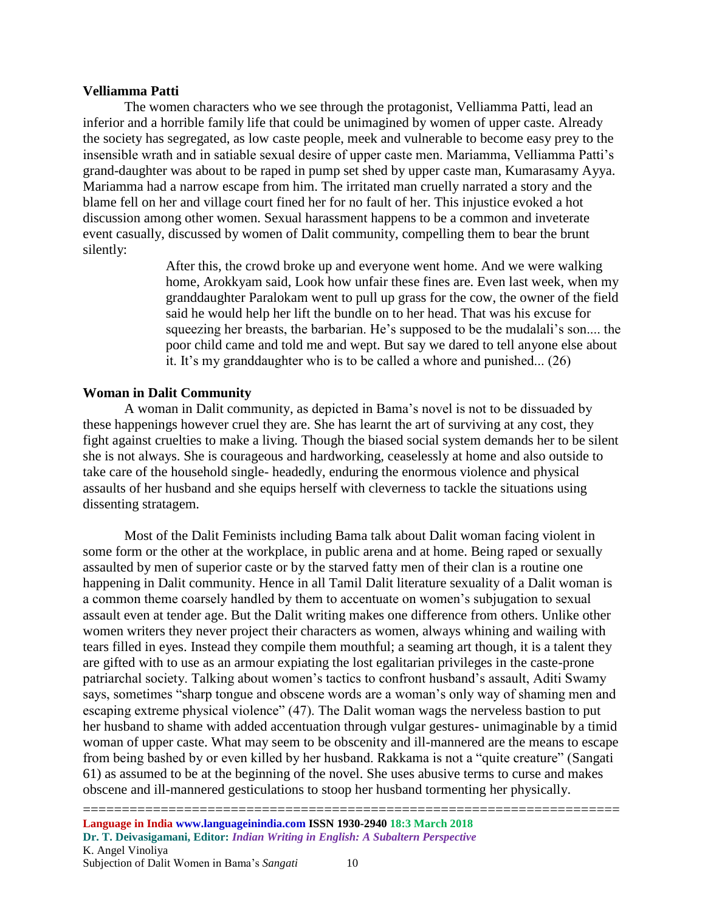#### **Velliamma Patti**

The women characters who we see through the protagonist, Velliamma Patti, lead an inferior and a horrible family life that could be unimagined by women of upper caste. Already the society has segregated, as low caste people, meek and vulnerable to become easy prey to the insensible wrath and in satiable sexual desire of upper caste men. Mariamma, Velliamma Patti's grand-daughter was about to be raped in pump set shed by upper caste man, Kumarasamy Ayya. Mariamma had a narrow escape from him. The irritated man cruelly narrated a story and the blame fell on her and village court fined her for no fault of her. This injustice evoked a hot discussion among other women. Sexual harassment happens to be a common and inveterate event casually, discussed by women of Dalit community, compelling them to bear the brunt silently:

> After this, the crowd broke up and everyone went home. And we were walking home, Arokkyam said, Look how unfair these fines are. Even last week, when my granddaughter Paralokam went to pull up grass for the cow, the owner of the field said he would help her lift the bundle on to her head. That was his excuse for squeezing her breasts, the barbarian. He's supposed to be the mudalali's son.... the poor child came and told me and wept. But say we dared to tell anyone else about it. It's my granddaughter who is to be called a whore and punished... (26)

# **Woman in Dalit Community**

A woman in Dalit community, as depicted in Bama's novel is not to be dissuaded by these happenings however cruel they are. She has learnt the art of surviving at any cost, they fight against cruelties to make a living. Though the biased social system demands her to be silent she is not always. She is courageous and hardworking, ceaselessly at home and also outside to take care of the household single- headedly, enduring the enormous violence and physical assaults of her husband and she equips herself with cleverness to tackle the situations using dissenting stratagem.

Most of the Dalit Feminists including Bama talk about Dalit woman facing violent in some form or the other at the workplace, in public arena and at home. Being raped or sexually assaulted by men of superior caste or by the starved fatty men of their clan is a routine one happening in Dalit community. Hence in all Tamil Dalit literature sexuality of a Dalit woman is a common theme coarsely handled by them to accentuate on women's subjugation to sexual assault even at tender age. But the Dalit writing makes one difference from others. Unlike other women writers they never project their characters as women, always whining and wailing with tears filled in eyes. Instead they compile them mouthful; a seaming art though, it is a talent they are gifted with to use as an armour expiating the lost egalitarian privileges in the caste-prone patriarchal society. Talking about women's tactics to confront husband's assault, Aditi Swamy says, sometimes "sharp tongue and obscene words are a woman's only way of shaming men and escaping extreme physical violence" (47). The Dalit woman wags the nerveless bastion to put her husband to shame with added accentuation through vulgar gestures- unimaginable by a timid woman of upper caste. What may seem to be obscenity and ill-mannered are the means to escape from being bashed by or even killed by her husband. Rakkama is not a "quite creature" (Sangati 61) as assumed to be at the beginning of the novel. She uses abusive terms to curse and makes obscene and ill-mannered gesticulations to stoop her husband tormenting her physically.